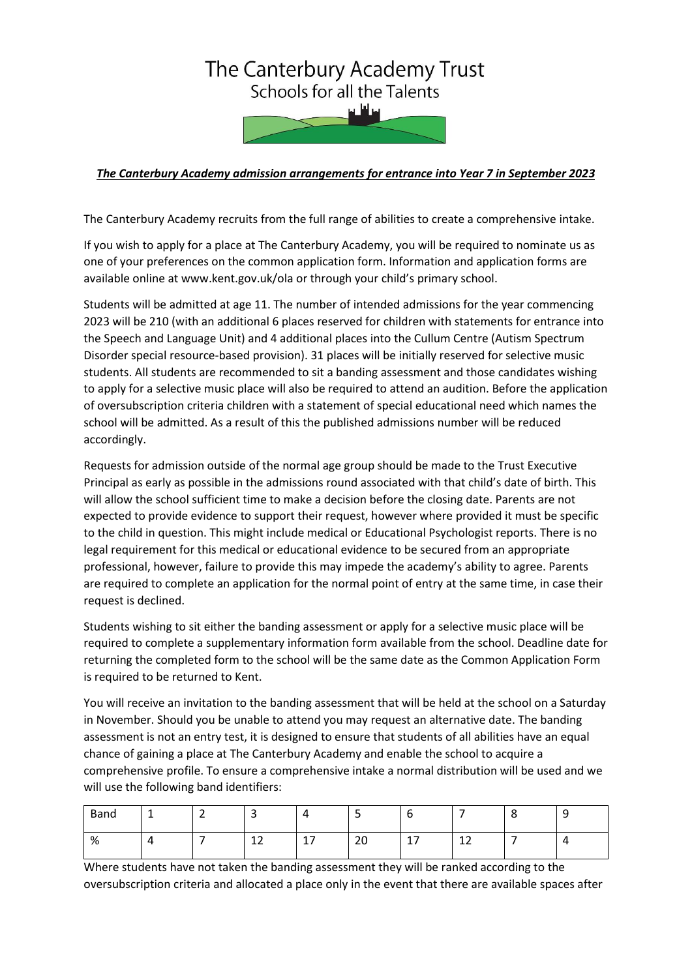## The Canterbury Academy Trust Schools for all the Talents

## *The Canterbury Academy admission arrangements for entrance into Year 7 in September 2023*

The Canterbury Academy recruits from the full range of abilities to create a comprehensive intake.

If you wish to apply for a place at The Canterbury Academy, you will be required to nominate us as one of your preferences on the common application form. Information and application forms are available online at www.kent.gov.uk/ola or through your child's primary school.

Students will be admitted at age 11. The number of intended admissions for the year commencing 2023 will be 210 (with an additional 6 places reserved for children with statements for entrance into the Speech and Language Unit) and 4 additional places into the Cullum Centre (Autism Spectrum Disorder special resource-based provision). 31 places will be initially reserved for selective music students. All students are recommended to sit a banding assessment and those candidates wishing to apply for a selective music place will also be required to attend an audition. Before the application of oversubscription criteria children with a statement of special educational need which names the school will be admitted. As a result of this the published admissions number will be reduced accordingly.

Requests for admission outside of the normal age group should be made to the Trust Executive Principal as early as possible in the admissions round associated with that child's date of birth. This will allow the school sufficient time to make a decision before the closing date. Parents are not expected to provide evidence to support their request, however where provided it must be specific to the child in question. This might include medical or Educational Psychologist reports. There is no legal requirement for this medical or educational evidence to be secured from an appropriate professional, however, failure to provide this may impede the academy's ability to agree. Parents are required to complete an application for the normal point of entry at the same time, in case their request is declined.

Students wishing to sit either the banding assessment or apply for a selective music place will be required to complete a supplementary information form available from the school. Deadline date for returning the completed form to the school will be the same date as the Common Application Form is required to be returned to Kent.

You will receive an invitation to the banding assessment that will be held at the school on a Saturday in November. Should you be unable to attend you may request an alternative date. The banding assessment is not an entry test, it is designed to ensure that students of all abilities have an equal chance of gaining a place at The Canterbury Academy and enable the school to acquire a comprehensive profile. To ensure a comprehensive intake a normal distribution will be used and we will use the following band identifiers:

| Band | ∽<br>- |              |                       | ۔۔             |                |         | a<br>ັ |
|------|--------|--------------|-----------------------|----------------|----------------|---------|--------|
| %    |        | $\sim$<br>ᅩᄼ | $\overline{a}$<br>. . | $\Omega$<br>∠∪ | 17<br><b>.</b> | 12<br>ᆠ |        |

Where students have not taken the banding assessment they will be ranked according to the oversubscription criteria and allocated a place only in the event that there are available spaces after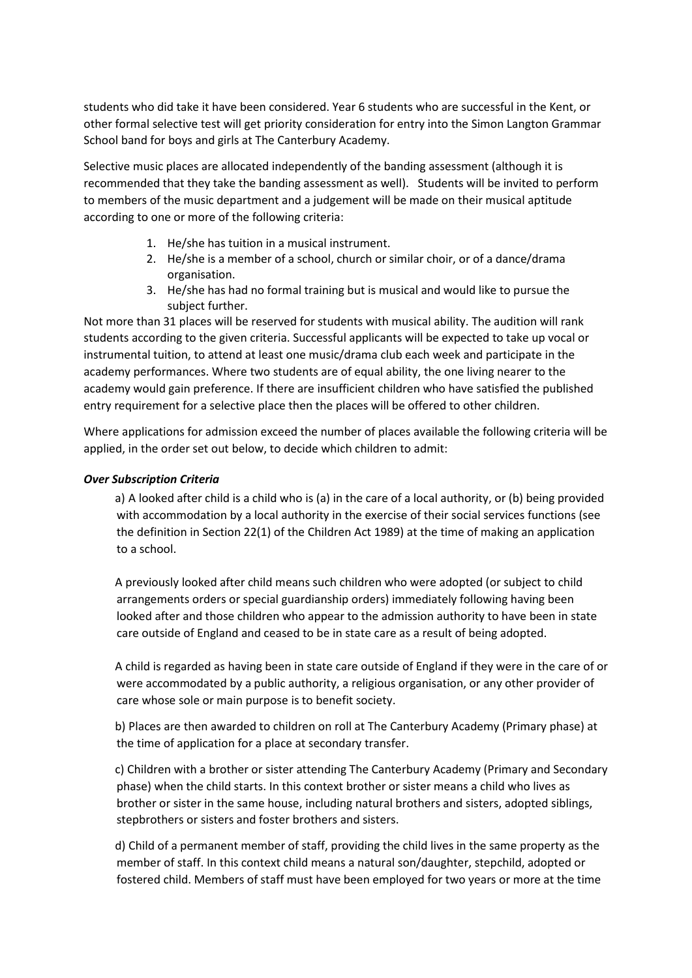students who did take it have been considered. Year 6 students who are successful in the Kent, or other formal selective test will get priority consideration for entry into the Simon Langton Grammar School band for boys and girls at The Canterbury Academy.

Selective music places are allocated independently of the banding assessment (although it is recommended that they take the banding assessment as well). Students will be invited to perform to members of the music department and a judgement will be made on their musical aptitude according to one or more of the following criteria:

- 1. He/she has tuition in a musical instrument.
- 2. He/she is a member of a school, church or similar choir, or of a dance/drama organisation.
- 3. He/she has had no formal training but is musical and would like to pursue the subject further.

Not more than 31 places will be reserved for students with musical ability. The audition will rank students according to the given criteria. Successful applicants will be expected to take up vocal or instrumental tuition, to attend at least one music/drama club each week and participate in the academy performances. Where two students are of equal ability, the one living nearer to the academy would gain preference. If there are insufficient children who have satisfied the published entry requirement for a selective place then the places will be offered to other children.

Where applications for admission exceed the number of places available the following criteria will be applied, in the order set out below, to decide which children to admit:

## *Over Subscription Criteria*

a) A looked after child is a child who is (a) in the care of a local authority, or (b) being provided with accommodation by a local authority in the exercise of their social services functions (see the definition in Section 22(1) of the Children Act 1989) at the time of making an application to a school.

A previously looked after child means such children who were adopted (or subject to child arrangements orders or special guardianship orders) immediately following having been looked after and those children who appear to the admission authority to have been in state care outside of England and ceased to be in state care as a result of being adopted.

A child is regarded as having been in state care outside of England if they were in the care of or were accommodated by a public authority, a religious organisation, or any other provider of care whose sole or main purpose is to benefit society.

b) Places are then awarded to children on roll at The Canterbury Academy (Primary phase) at the time of application for a place at secondary transfer.

c) Children with a brother or sister attending The Canterbury Academy (Primary and Secondary phase) when the child starts. In this context brother or sister means a child who lives as brother or sister in the same house, including natural brothers and sisters, adopted siblings, stepbrothers or sisters and foster brothers and sisters.

d) Child of a permanent member of staff, providing the child lives in the same property as the member of staff. In this context child means a natural son/daughter, stepchild, adopted or fostered child. Members of staff must have been employed for two years or more at the time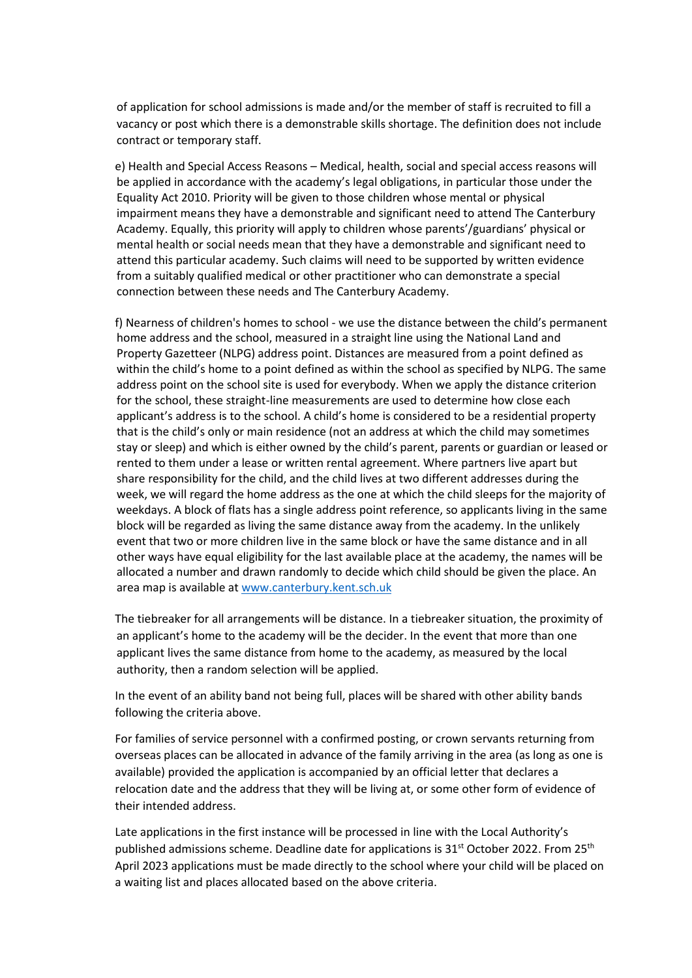of application for school admissions is made and/or the member of staff is recruited to fill a vacancy or post which there is a demonstrable skills shortage. The definition does not include contract or temporary staff.

e) Health and Special Access Reasons – Medical, health, social and special access reasons will be applied in accordance with the academy's legal obligations, in particular those under the Equality Act 2010. Priority will be given to those children whose mental or physical impairment means they have a demonstrable and significant need to attend The Canterbury Academy. Equally, this priority will apply to children whose parents'/guardians' physical or mental health or social needs mean that they have a demonstrable and significant need to attend this particular academy. Such claims will need to be supported by written evidence from a suitably qualified medical or other practitioner who can demonstrate a special connection between these needs and The Canterbury Academy.

f) Nearness of children's homes to school - we use the distance between the child's permanent home address and the school, measured in a straight line using the National Land and Property Gazetteer (NLPG) address point. Distances are measured from a point defined as within the child's home to a point defined as within the school as specified by NLPG. The same address point on the school site is used for everybody. When we apply the distance criterion for the school, these straight-line measurements are used to determine how close each applicant's address is to the school. A child's home is considered to be a residential property that is the child's only or main residence (not an address at which the child may sometimes stay or sleep) and which is either owned by the child's parent, parents or guardian or leased or rented to them under a lease or written rental agreement. Where partners live apart but share responsibility for the child, and the child lives at two different addresses during the week, we will regard the home address as the one at which the child sleeps for the majority of weekdays. A block of flats has a single address point reference, so applicants living in the same block will be regarded as living the same distance away from the academy. In the unlikely event that two or more children live in the same block or have the same distance and in all other ways have equal eligibility for the last available place at the academy, the names will be allocated a number and drawn randomly to decide which child should be given the place. An area map is available at [www.canterbury.kent.sch.uk](http://www.canterbury.kent.sch.uk/)

The tiebreaker for all arrangements will be distance. In a tiebreaker situation, the proximity of an applicant's home to the academy will be the decider. In the event that more than one applicant lives the same distance from home to the academy, as measured by the local authority, then a random selection will be applied.

In the event of an ability band not being full, places will be shared with other ability bands following the criteria above.

For families of service personnel with a confirmed posting, or crown servants returning from overseas places can be allocated in advance of the family arriving in the area (as long as one is available) provided the application is accompanied by an official letter that declares a relocation date and the address that they will be living at, or some other form of evidence of their intended address.

Late applications in the first instance will be processed in line with the Local Authority's published admissions scheme. Deadline date for applications is 31<sup>st</sup> October 2022. From 25<sup>th</sup> April 2023 applications must be made directly to the school where your child will be placed on a waiting list and places allocated based on the above criteria.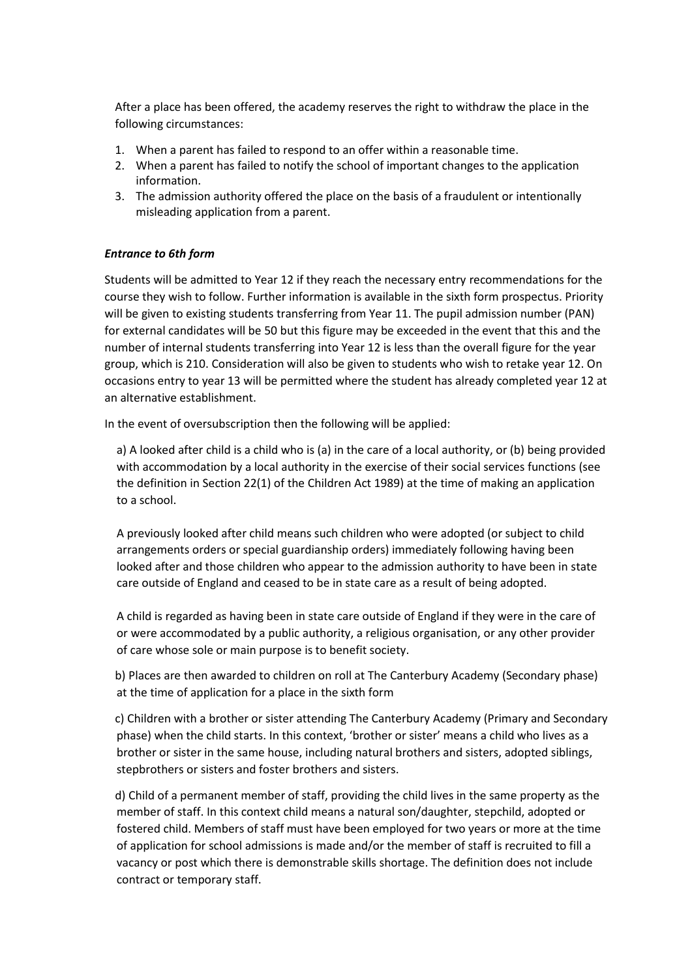After a place has been offered, the academy reserves the right to withdraw the place in the following circumstances:

- 1. When a parent has failed to respond to an offer within a reasonable time.
- 2. When a parent has failed to notify the school of important changes to the application information.
- 3. The admission authority offered the place on the basis of a fraudulent or intentionally misleading application from a parent.

## *Entrance to 6th form*

Students will be admitted to Year 12 if they reach the necessary entry recommendations for the course they wish to follow. Further information is available in the sixth form prospectus. Priority will be given to existing students transferring from Year 11. The pupil admission number (PAN) for external candidates will be 50 but this figure may be exceeded in the event that this and the number of internal students transferring into Year 12 is less than the overall figure for the year group, which is 210. Consideration will also be given to students who wish to retake year 12. On occasions entry to year 13 will be permitted where the student has already completed year 12 at an alternative establishment.

In the event of oversubscription then the following will be applied:

a) A looked after child is a child who is (a) in the care of a local authority, or (b) being provided with accommodation by a local authority in the exercise of their social services functions (see the definition in Section 22(1) of the Children Act 1989) at the time of making an application to a school.

A previously looked after child means such children who were adopted (or subject to child arrangements orders or special guardianship orders) immediately following having been looked after and those children who appear to the admission authority to have been in state care outside of England and ceased to be in state care as a result of being adopted.

A child is regarded as having been in state care outside of England if they were in the care of or were accommodated by a public authority, a religious organisation, or any other provider of care whose sole or main purpose is to benefit society.

b) Places are then awarded to children on roll at The Canterbury Academy (Secondary phase) at the time of application for a place in the sixth form

c) Children with a brother or sister attending The Canterbury Academy (Primary and Secondary phase) when the child starts. In this context, 'brother or sister' means a child who lives as a brother or sister in the same house, including natural brothers and sisters, adopted siblings, stepbrothers or sisters and foster brothers and sisters.

d) Child of a permanent member of staff, providing the child lives in the same property as the member of staff. In this context child means a natural son/daughter, stepchild, adopted or fostered child. Members of staff must have been employed for two years or more at the time of application for school admissions is made and/or the member of staff is recruited to fill a vacancy or post which there is demonstrable skills shortage. The definition does not include contract or temporary staff.